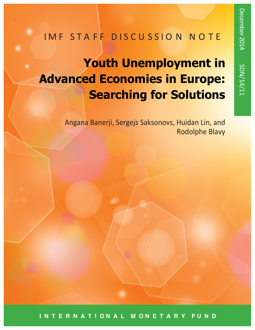# IMF STAFF DISCUSSION NOTE

# **Youth Unemployment in Advanced Economies in Europe: Searching for Solutions**

Angana Banerji, Sergejs Saksonovs, Huidan Lin, and Rodolphe Blavy

**I N T E R N A T I O N A L M O N E T A R Y F U N D**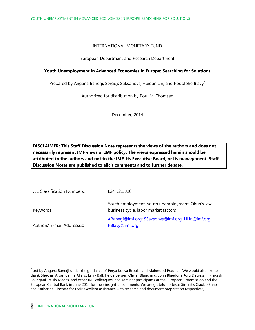#### INTERNATIONAL MONETARY FUND

#### European Department and Research Department

#### **Youth Unemployment in Advanced Economies in Europe: Searching for Solutions**

Prepared by Angana Banerji, Sergejs Saksonovs, Huidan Lin, and Rodolphe Blavy<sup>\*</sup>

Authorized for distribution by Poul M. Thomsen

December, 2014

**DISCLAIMER: This Staff Discussion Note represents the views of the authors and does not necessarily represent IMF views or IMF policy. The views expressed herein should be attributed to the authors and not to the IMF, its Executive Board, or its management. Staff Discussion Notes are published to elicit comments and to further debate.**

| JEL Classification Numbers: | E24, J21, J20                                                                             |
|-----------------------------|-------------------------------------------------------------------------------------------|
| Keywords:                   | Youth employment, youth unemployment, Okun's law,<br>business cycle, labor market factors |
| Authors' E-mail Addresses:  | ABanerji@imf.org; SSaksonvs@imf.org; HLin@imf.org;<br>RBlavy@imf.org                      |

 Led by Angana Banerji under the guidance of Petya Koeva Brooks and Mahmood Pradhan. We would also like to thank Shekhar Aiyar, Céline Allard, Larry Ball, Helge Berger, Olivier Blanchard, John Bluedorn, Jӧrg Decressin, Prakash Loungani, Paulo Medas, and other IMF colleagues, and seminar participants at the European Commission and the European Central Bank in June 2014 for their insightful comments. We are grateful to Jesse Siminitz, Xiaobo Shao, and Katherine Cincotta for their excellent assistance with research and document preparation respectively.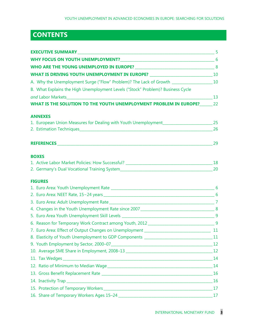# **CONTENTS**

| WHAT IS DRIVING YOUTH UNEMPLOYMENT IN EUROPE? _________________________________10          |  |
|--------------------------------------------------------------------------------------------|--|
|                                                                                            |  |
| B. What Explains the High Unemployment Levels ("Stock" Problem)? Business Cycle            |  |
|                                                                                            |  |
| WHAT IS THE SOLUTION TO THE YOUTH UNEMPLOYMENT PROBLEM IN EUROPE?_______22                 |  |
| <b>ANNEXES</b>                                                                             |  |
| 1. European Union Measures for Dealing with Youth Unemployment__________________________25 |  |
|                                                                                            |  |
|                                                                                            |  |
| <b>BOXES</b>                                                                               |  |
|                                                                                            |  |
|                                                                                            |  |
| <b>FIGURES</b>                                                                             |  |
|                                                                                            |  |
|                                                                                            |  |
|                                                                                            |  |
|                                                                                            |  |
|                                                                                            |  |
|                                                                                            |  |
|                                                                                            |  |
| 8. Elasticity of Youth Unemployment to GDP Components _______________________________11    |  |
|                                                                                            |  |
|                                                                                            |  |
|                                                                                            |  |
|                                                                                            |  |
|                                                                                            |  |
|                                                                                            |  |
|                                                                                            |  |
|                                                                                            |  |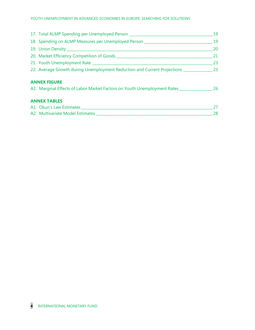| 17. Total ALMP Spending per Unemployed Person __________________________________ |           |  |
|----------------------------------------------------------------------------------|-----------|--|
| 18. Spending on ALMP Measures per Unemployed Person ____________________________ |           |  |
|                                                                                  | 20        |  |
|                                                                                  | 21        |  |
|                                                                                  | 23        |  |
| 23. Average Growth during Unemployment Reduction and Current Projections 23      |           |  |
| <b>ANNEX FIGURE</b>                                                              |           |  |
| A1. Marginal Effects of Labor Market Factors on Youth Unemployment Rates         | <b>26</b> |  |
| <b>ANNEX TABLES</b>                                                              |           |  |
|                                                                                  | 27        |  |
| A2. Multivariate Model Estimates                                                 | 28        |  |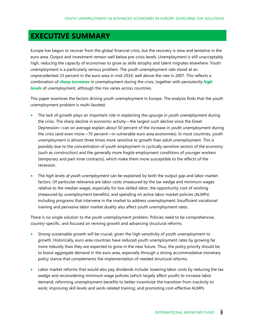# **EXECUTIVE SUMMARY**

Europe has begun to recover from the global financial crisis, but the recovery is slow and tentative in the euro area. Output and investment remain well below pre-crisis levels. Unemployment is still unacceptably high, reducing the capacity of economies to grow as skills atrophy and talent migrates elsewhere. Youth unemployment is a particularly serious problem. The youth unemployment rate stood at an unprecedented 23 percent in the euro area in mid-2014, well above the rate in 2007. This reflects a combination of *sharp increases* in unemployment during the crisis, together with persistently *high levels* of unemployment, although the mix varies across countries.

This paper examines the factors driving youth unemployment in Europe. The analysis finds that the youth unemployment problem is multi-faceted:

- x The lack of growth plays an important role in explaining the *upsurge in youth unemployment* during the crisis. The sharp decline in economic activity—the largest such decline since the Great Depression—can on average explain about 50 percent of the increase in youth unemployment during the crisis (and even more—70 percent—in vulnerable euro area economies). In most countries, youth unemployment is almost three times more sensitive to growth than adult unemployment. This is possibly due to the concentration of youth employment in cyclically sensitive sectors of the economy (such as construction) and the generally more fragile employment conditions of younger workers (temporary and part-time contracts), which make them more susceptible to the effects of the recession.
- x The *high levels of youth unemployment* can be explained by both the output gap and labor market factors. Of particular relevance are labor costs (measured by the tax wedge and minimum wages relative to the median wage), especially for low-skilled labor; the opportunity cost of working (measured by unemployment benefits); and spending on active labor market policies (ALMPs) including programs that intervene in the market to address unemployment. Insufficient vocational training and pervasive labor market duality also affect youth unemployment rates.

There is no single solution to the youth unemployment problem. Policies need to be comprehensive, country-specific, and focused on reviving growth and advancing structural reforms.

- Strong sustainable growth will be crucial, given the high sensitivity of youth unemployment to growth. Historically, euro area countries have reduced youth unemployment rates by growing far more robustly than they are expected to grow in the near future. Thus, the policy priority should be to boost aggregate demand in the euro area, especially through a strong accommodative monetary policy stance that complements the implementation of needed structural reforms.
- Labor market reforms that would also pay dividends include: lowering labor costs by reducing the tax wedge and reconsidering minimum wage policies (which largely affect youth) to increase labor demand; reforming unemployment benefits to better incentivize the transition from inactivity to work; improving skill levels and work-related training; and promoting cost-effective ALMPs.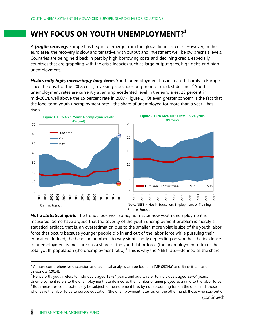# WHY FOCUS ON YOUTH UNEMPLOYMENT?<sup>1</sup>

*A fragile recovery.* Europe has begun to emerge from the global financial crisis. However, in the euro area, the recovery is slow and tentative, with output and investment well below precrisis levels. Countries are being held back in part by high borrowing costs and declining credit, especially countries that are grappling with the crisis legacies such as large output gaps, high debt, and high unemployment.

*Historically high, increasingly long-term.* Youth unemployment has increased sharply in Europe since the onset of the 2008 crisis, reversing a decade-long trend of modest declines.<sup>2</sup> Youth unemployment rates are currently at an unprecedented level in the euro area: 23 percent in mid-2014, well above the 15 percent rate in 2007 (Figure 1). Of even greater concern is the fact that the long-term youth unemployment rate—the share of unemployed for more than a year—has risen.



*Not a statistical quirk.* The trends look worrisome, no matter how youth unemployment is measured. Some have argued that the severity of the youth unemployment problem is merely a statistical artifact, that is, an overestimation due to the smaller, more volatile size of the youth labor force that occurs because younger people dip in and out of the labor force while pursuing their education. Indeed, the headline numbers do vary significantly depending on whether the incidence of unemployment is measured as a share of the youth labor force (the unemployment rate) or the total youth population (the unemployment ratio).<sup>3</sup> This is why the NEET rate—defined as the share

(continued)

 $1$  A more comprehensive discussion and technical analysis can be found in IMF (2014a) and Banerji, Lin, and Saksonovs (2014).

 $2$  Henceforth, youth refers to individuals aged 15–24 years, and adults refer to individuals aged 25–64 years.

Unemployment refers to the unemployment rate defined as the number of unemployed as a ratio to the labor force.  $3$  Both measures could potentially be subject to measurement bias by not accounting for, on the one hand, those who leave the labor force to pursue education (the unemployment rate), or, on the other hand, those who stay out of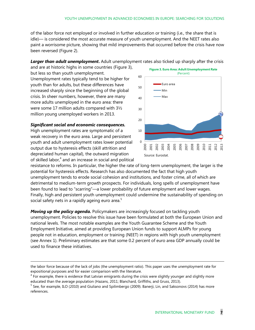of the labor force not employed or involved in further education or training (i.e., the share that is idle)— is considered the most accurate measure of youth unemployment. And the NEET rates also paint a worrisome picture, showing that mild improvements that occurred before the crisis have now been reversed (Figure 2).

#### *Larger than adult unemployment***.** Adult unemployment rates also ticked up sharply after the crisis

and are at historic highs in some countries (Figure 3), but less so than youth unemployment. Unemployment rates typically tend to be higher for youth than for adults, but these differences have increased sharply since the beginning of the global crisis. In sheer numbers, however, there are many more adults unemployed in the euro area: there were some 17 million adults compared with 3½ million young unemployed workers in 2013.

#### *Significant social and economic consequences.*

-

High unemployment rates are symptomatic of a weak recovery in the euro area. Large and persistent youth and adult unemployment rates lower potential output due to hysteresis effects (skill attrition and depreciated human capital), the outward migration of skilled labor, $4$  and an increase in social and political



resistance to reforms. In particular, the higher the rate of long-term unemployment, the larger is the potential for hysteresis effects. Research has also documented the fact that high youth unemployment tends to erode social cohesion and institutions, and foster crime, all of which are detrimental to medium-term growth prospects. For individuals, long spells of unemployment have been found to lead to "scarring"—a lower probability of future employment and lower wages. Finally, high and persistent youth unemployment could undermine the sustainability of spending on social safety nets in a rapidly ageing euro area. $5$ 

*Moving up the policy agenda.* Policymakers are increasingly focused on tackling youth unemployment. Policies to resolve this issue have been formulated at both the European Union and national levels. The most notable examples are the Youth Guarantee Scheme and the Youth Employment Initiative, aimed at providing European Union funds to support ALMPs for young people not in education, employment or training (NEET) in regions with high youth unemployment (see Annex 1). Preliminary estimates are that some 0.2 percent of euro area GDP annually could be used to finance these initiatives.

the labor force because of the lack of jobs (the unemployment ratio). This paper uses the unemployment rate for expositional purposes and for easier comparison with the literature.

 $4$  For example, there is evidence that Latvian emigrants during the crisis were slightly younger and slightly more educated than the average population (Hazans, 2011; Blanchard, Griffiths, and Gruss, 2013).

<sup>&</sup>lt;sup>5</sup> See, for example, ILO (2010) and Giuliano and Spilimbergo (2009). Banerji, Lin, and Saksonovs (2014) has more references.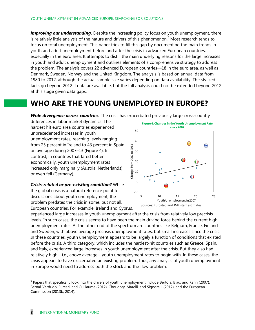Improving our understanding. Despite the increasing policy focus on youth unemployment, there is relatively little analysis of the nature and drivers of this phenomenon. $6$  Most research tends to focus on total unemployment. This paper tries to fill this gap by documenting the main trends in youth and adult unemployment before and after the crisis in advanced European countries, especially in the euro area. It attempts to distill the main underlying reasons for the large increases in youth and adult unemployment and outlines elements of a comprehensive strategy to address the problem. The analysis covers 22 advanced European countries—18 in the euro area, as well as Denmark, Sweden, Norway and the United Kingdom. The analysis is based on annual data from 1980 to 2012, although the actual sample size varies depending on data availability. The stylized facts go beyond 2012 if data are available, but the full analysis could not be extended beyond 2012 at this stage given data gaps.

# **WHO ARE THE YOUNG UNEMPLOYED IN EUROPE?**

*Wide divergence across countries.* The crisis has exacerbated previously large cross-country

differences in labor market dynamics. The hardest hit euro area countries experienced unprecedented increases in youth unemployment rates, reaching levels ranging from 25 percent in Ireland to 43 percent in Spain on average during 2007–13 (Figure 4). In contrast, in countries that fared better economically, youth unemployment rates increased only marginally (Austria, Netherlands) or even fell (Germany).

*Crisis-related or pre-existing condition?* While the global crisis is a natural reference point for discussions about youth unemployment, the problem predates the crisis in some, but not all, European countries. For example, Ireland and Cyprus,



experienced large increases in youth unemployment after the crisis from relatively low precrisis levels. In such cases, the crisis seems to have been the main driving force behind the current high unemployment rates. At the other end of the spectrum are countries like Belgium, France, Finland and Sweden, with above average precrisis unemployment rates, but small increases since the crisis. In these countries, youth unemployment appears to be largely a function of conditions that existed before the crisis. A third category, which includes the hardest-hit countries such as Greece, Spain, and Italy, experienced large increases in youth unemployment after the crisis. But they also had relatively high—i.e., above average—youth unemployment rates to begin with. In these cases, the crisis appears to have exacerbated an existing problem. Thus, any analysis of youth unemployment in Europe would need to address both the stock and the flow problem.

 $6$  Papers that specifically look into the drivers of youth unemployment include Bertola, Blau, and Kahn (2007), Bernal-Verdugo, Furceri, and Guillaume (2012), Choudhry, Marelli, and Signorelli (2012), and the European Commission (2013b, 2014).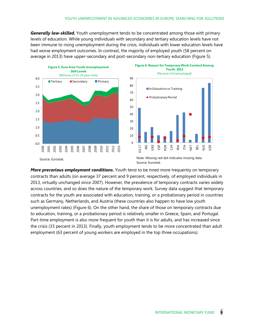*Generally low-skilled.* Youth unemployment tends to be concentrated among those with primary levels of education. While young individuals with secondary and tertiary education levels have not been immune to rising unemployment during the crisis, individuals with lower education levels have had worse employment outcomes. In contrast, the majority of employed youth (58 percent on average in 2013) have upper-secondary and post-secondary non-tertiary education (Figure 5).



*More precarious employment conditions.* Youth tend to be hired more frequently on temporary contracts than adults (on average 37 percent and 9 percent, respectively, of employed individuals in 2013, virtually unchanged since 2007). However, the prevalence of temporary contracts varies widely across countries, and so does the nature of the temporary work. Survey data suggest that temporary contracts for the youth are associated with education, training, or a probationary period in countries such as Germany, Netherlands, and Austria (these countries also happen to have low youth unemployment rates) (Figure 6). On the other hand, the share of those on temporary contracts due to education, training, or a probationary period is relatively smaller in Greece, Spain, and Portugal. Part-time employment is also more frequent for youth than it is for adults, and has increased since the crisis (33 percent in 2013). Finally, youth employment tends to be more concentrated than adult employment (63 percent of young workers are employed in the top three occupations).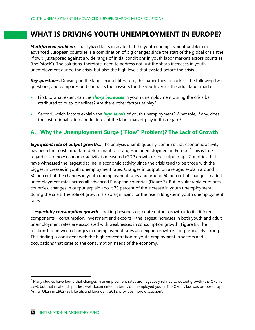# **WHAT IS DRIVING YOUTH UNEMPLOYMENT IN EUROPE?**

*Multifaceted problem.* The stylized facts indicate that the youth unemployment problem in advanced European countries is a combination of big changes since the start of the global crisis (the "flow"), juxtaposed against a wide range of initial conditions in youth labor markets across countries (the "stock"). The solutions, therefore, need to address not just the sharp increases in youth unemployment during the crisis, but also the high levels that existed before the crisis.

*Key questions.* Drawing on the labor market literature, this paper tries to address the following two questions, and compares and contrasts the answers for the youth versus the adult labor market:

- First, to what extent can the **sharp increases** in youth unemployment during the crisis be attributed to output declines? Are there other factors at play?
- x Second, which factors explain the *high levels* of youth unemployment? What role, if any, does the institutional setup and features of the labor market play in this regard?

### **A. Why the Unemployment Surge ("Flow" Problem)? The Lack of Growth**

*Significant role of output growth...* The analysis unambiguously confirms that economic activity has been the most important determinant of changes in unemployment in Europe.<sup>7</sup> This is true regardless of how economic activity is measured (GDP growth or the output gap). Countries that have witnessed the largest decline in economic activity since the crisis tend to be those with the biggest increases in youth unemployment rates. Changes in output, on average, explain around 50 percent of the changes in youth unemployment rates and around 60 percent of changes in adult unemployment rates across all advanced European countries (Figure 7). But in vulnerable euro area countries, changes in output explain about 70 percent of the increase in youth unemployment during the crisis. The role of growth is also significant for the rise in long-term youth unemployment rates.

*…especially consumption growth.* Looking beyond aggregate output growth into its different components—consumption, investment and exports—the largest increases in both youth and adult unemployment rates are associated with weaknesses in consumption growth (Figure 8). The relationship between changes in unemployment rates and export growth is not particularly strong. This finding is consistent with the high concentration of youth employment in sectors and occupations that cater to the consumption needs of the economy.

 $'$  Many studies have found that changes in unemployment rates are negatively related to output growth (the Okun's Law), but that relationship is less well documented in terms of unemployed youth. The Okun's law was proposed by Arthur Okun in 1962 (Ball, Leigh, and Loungani, 2013, provides more discussion).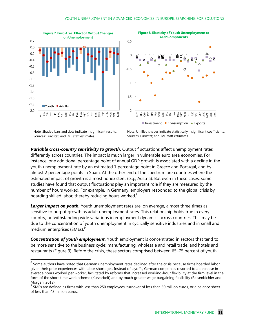



Note: Shaded bars and dots indicate insignificant results. Sources: Eurostat; and IMF staff estimates.

Note: Unfilled shapes indicate statistically insignificant coefficients. Sources: Eurostat; and IMF staff estimates.

*Variable cross-country sensitivity to growth***.** Output fluctuations affect unemployment rates differently across countries. The impact is much larger in vulnerable euro area economies. For instance, one additional percentage point of annual GDP growth is associated with a decline in the youth unemployment rate by an estimated 1 percentage point in Greece and Portugal, and by almost 2 percentage points in Spain. At the other end of the spectrum are countries where the estimated impact of growth is almost nonexistent (e.g., Austria). But even in these cases, some studies have found that output fluctuations play an important role if they are measured by the number of hours worked. For example, in Germany, employers responded to the global crisis by hoarding skilled labor, thereby reducing hours worked.<sup>8</sup>

**Larger impact on youth.** Youth unemployment rates are, on average, almost three times as sensitive to output growth as adult unemployment rates. This relationship holds true in every country, notwithstanding wide variations in employment dynamics across countries. This may be due to the concentration of youth unemployment in cyclically sensitive industries and in small and medium enterprises (SMEs).<sup>9</sup>

*Concentration of youth employment.* Youth employment is concentrated in sectors that tend to be more sensitive to the business cycle: manufacturing, wholesale and retail trade, and hotels and restaurants (Figure 9). Before the crisis, these sectors comprised between 65–75 percent of youth

 $8$  Some authors have noted that German unemployment rates declined after the crisis because firms hoarded labor given their prior experiences with labor shortages. Instead of layoffs, German companies resorted to a decrease in average hours worked per worker, facilitated by reforms that increased working-hour flexibility at the firm level in the form of the short-time work scheme (Kurzarbeit) and by much greater wage bargaining flexibility (Reisenbichler and Morgan, 2012).<br><sup>9</sup> SMEs are defined as firms with less than 250 employees, turnover of less than 50 million euros, or a balance sheet

of less than 43 million euros.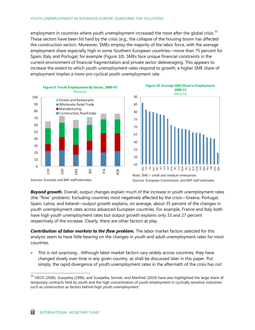employment in countries where youth unemployment increased the most after the global crisis. $^{10}$ These sectors have been hit hard by the crisis (e.g., the collapse of the housing boom has affected the construction sector). Moreover, SMEs employ the majority of the labor force, with the average employment share especially high in some Southern European countries—more than 75 percent for Spain, Italy and Portugal, for example (Figure 10). SMEs face unique financial constraints in the current environment of financial fragmentation and private sector deleveraging. This appears to increase the extent to which youth unemployment rates respond to growth; a higher SME share of employment implies a more pro-cyclical youth unemployment rate.





*Beyond growth***.** Overall, output changes explain much of the increase in youth unemployment rates (the "flow" problem). Excluding countries most negatively affected by the crisis—Greece, Portugal, Spain, Latvia, and Ireland—output growth explains, on average, about 35 percent of the changes in youth unemployment rates across advanced European countries. For example, France and Italy both have high youth unemployment rates but output growth explains only 33 and 27 percent respectively of the increase. Clearly, there are other factors at play.

*Contribution of labor markets to the flow problem.* The labor market factors selected for this analysis seem to have little bearing on the changes in youth and adult unemployment rates for most countries.

This is not surprising... Although labor market factors vary widely across countries, they have changed slowly over time in any given country, as shall be discussed later in this paper. Put simply, the rapid divergence of youth unemployment rates in the aftermath of the crisis has not

 $10$  OECD (2006), Scarpetta (1996), and Scarpetta, Sonnet, and Manfred (2010) have also highlighted the large share of temporary contracts held by youth and the high concentration of youth employment in cyclically sensitive industries such as construction as factors behind high youth unemployment.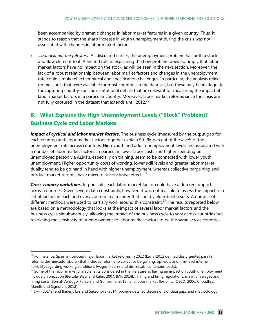been accompanied by dramatic changes in labor market features in a given country. Thus, it stands to reason that the sharp increase in youth unemployment during the crisis was not associated with changes in labor market factors.

■ …*but also not the full story*. As discussed earlier, the unemployment problem has both a stock and flow element to it. A limited role in explaining the flow problem does not imply that labor market factors have no impact on the stock, as will be seen in the next section. Moreover, the lack of a robust relationship between labor market factors and changes in the unemployment rate could simply reflect empirical and specification challenges. In particular, the analysis relied on measures that were available for most countries in the data set, but these may be inadequate for capturing country-specific institutional details that are relevant for measuring the impact of labor market factors in a particular country. Moreover, labor market reforms since the crisis are not fully captured in the dataset that extends until 2012. $^{11}$ 

## **B. What Explains the High Unemployment Levels ("Stock" Problem)? Business Cycle** *and* **Labor Markets**

*Impact of cyclical and labor market factors***.** The business cycle (measured by the output gap for each country) and labor market factors together explain 90−96 percent of the *levels* of the unemployment rate across countries. High youth and adult unemployment levels are associated with a number of labor market factors. In particular, lower labor costs and higher spending per unemployed person via ALMPs, especially on training, seem to be connected with lower youth unemployment. Higher opportunity costs of working, lower skill levels and greater labor market duality tend to be go hand in hand with higher unemployment, whereas collective bargaining and product market reforms have mixed or inconclusive effects. $12$ 

*Cross-country variations***.** In principle, each labor market factor could have a different impact across countries. Given severe data constraints, however, it was not feasible to assess the impact of a set of factors in each and every country in a manner that could yield robust results. A number of different methods were used to partially work around this constraint.<sup>13</sup> The results reported below are based on a methodology that looks at the impact of several labor market factors and the business cycle simultaneously, allowing the impact of the business cycle to vary across countries but restricting the sensitivity of unemployment to labor market factors to be the same across countries.

 $11$  For instance, Spain introduced major labor market reforms in 2012 (Ley 3/2012 de medidas urgentes para la reforma del mercado laboral) that included reforms to collective bargaining, opt-outs and firm-level internal flexibility regarding working conditions (wages, hours), and dismissals (conditions, costs).

 $12$  Some of the labor market characteristics considered in the literature as having an impact on youth unemployment include unionization (Bertola, Blau, and Kahn, 2007; IMF, 2014b), hiring and firing regulations, minimum wages and hiring costs (Bernal-Verdugo, Furceri, and Guillaume, 2012), and labor market flexibility (OECD, 2006; Choudhry, Marelli, and Signorelli, 2012).

 $^{13}$  IMF (2014a) and Banerji, Lin, and Saksonovs (2014) provide detailed discussions of data gaps and methodology.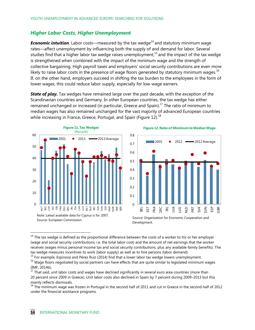#### *Higher Labor Costs, Higher Unemployment*

**Economic intuition**. Labor costs—measured by the tax wedge<sup>14</sup> and statutory minimum wage rates—affect unemployment by influencing both the supply of and demand for labor. Several studies find that a higher labor tax wedge raises unemployment, $^{15}$  and the impact of the tax wedge is strengthened when combined with the impact of the minimum wage and the strength of collective bargaining. High payroll taxes and employers' social security contributions are even more likely to raise labor costs in the presence of wage floors generated by statutory minimum wages.<sup>16</sup> If, on the other hand, employers succeed in shifting the tax burden to the employees in the form of lower wages, this could reduce labor supply, especially for low-wage earners.

**State of play.** Tax wedges have remained large over the past decade, with the exception of the Scandinavian countries and Germany. In other European countries, the tax wedge has either remained unchanged or increased (in particular, Greece and Spain).<sup>17</sup> The ratio of minimum to median wages has also remained unchanged for the vast majority of advanced European countries while increasing in France, Greece, Portugal, and Spain (Figure 12).<sup>18</sup>





Development.

 $15$  For example, Espinoza and Pérez Ruiz (2014) find that a lower labor tax wedge lowers unemployment.

 $14$  The tax wedge is defined as the proportional difference between the costs of a worker to his or her employer (wage and social security contributions, i.e. the total labor cost) and the amount of net earnings that the worker receives (wages minus personal income tax and social security contributions, plus any available family benefits). The tax wedge measures incentives to work (labor supply) as well as to hire persons (labor demand).

<sup>&</sup>lt;sup>16</sup> Wage floors negotiated by social partners can have effects that are quite similar to legislated minimum wages (IMF, 2014b).

<sup>&</sup>lt;sup>17</sup> That said, unit labor costs and wages have declined significantly in several euro area countries (more than 20 percent since 2009 in Greece). Unit labor costs also declined in Spain by 7 percent during 2009–2013 but this mainly reflects dismissals.

<sup>18</sup> The minimum wage was frozen in Portugal in the second half of 2011 and cut in Greece in the second half of 2012 under the financial assistance programs.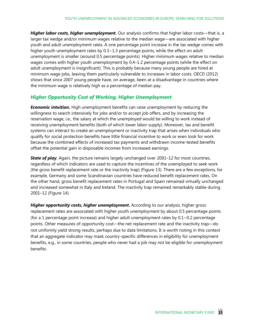*Higher labor costs, higher unemployment.* Our analysis confirms that higher labor costs—that is, a larger tax wedge and/or minimum wages relative to the median wage—are associated with higher youth and adult unemployment rates. A one percentage point increase in the tax wedge comes with higher youth unemployment rates by 0.3−1.3 percentage points, while the effect on adult unemployment is smaller (around 0.5 percentage points). Higher minimum wages relative to median wages comes with higher youth unemployment by 0.4–1.2 percentage points (while the effect on adult unemployment is insignificant). This is probably because many young people are hired at minimum wage jobs, leaving them particularly vulnerable to increases in labor costs. OECD (2012) shows that since 2007 young people have, on average, been at a disadvantage in countries where the minimum wage is relatively high as a percentage of median pay.

### *Higher Opportunity Cost of Working, Higher Unemployment*

*Economic intuition.* High unemployment benefits can raise unemployment by reducing the willingness to search intensively for jobs and/or to accept job offers, and by increasing the reservation wage, i.e., the salary at which the unemployed would be willing to work instead of receiving unemployment benefits (both of which lower labor supply). Moreover, tax and benefit systems can interact to create an unemployment or inactivity trap that arises when individuals who qualify for social protection benefits have little financial incentive to work or even look for work because the combined effects of increased tax payments and withdrawn income-tested benefits offset the potential gain in disposable incomes from increased earnings.

*State of play.* Again, the picture remains largely unchanged over 2001–12 for most countries, regardless of which indicators are used to capture the incentives of the unemployed to seek work (the gross benefit replacement rate or the inactivity trap) (Figure 13). There are a few exceptions, for example, Germany and some Scandinavian countries have reduced benefit replacement rates. On the other hand, gross benefit replacement rates in Portugal and Spain remained virtually unchanged and increased somewhat in Italy and Ireland. The inactivity trap remained remarkably stable during 2001–12 (Figure 14).

*Higher opportunity costs, higher unemployment***.** According to our analysis, higher gross replacement rates are associated with higher youth unemployment by about 0.5 percentage points (for a 1 percentage point increase) and higher adult unemployment rates by 0.1−0.2 percentage points. Other measures of opportunity cost—the net replacement rate and the inactivity trap—do not uniformly yield strong results, perhaps due to data limitations. It is worth noting in this context that an aggregate indicator may mask country-specific differences in eligibility for unemployment benefits, e.g., in some countries, people who never had a job may not be eligible for unemployment benefits.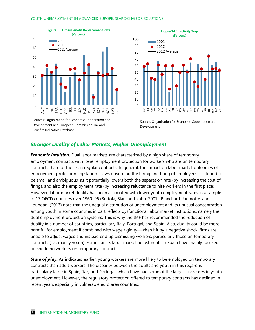





Source: Organization for Economic Cooperation and Development.

#### *Stronger Duality of Labor Markets, Higher Unemployment*

*Economic intuition.* Dual labor markets are characterized by a high share of temporary employment contracts with lower employment protection for workers who are on temporary contracts than for those on regular contracts. In general, the impact on labor market outcomes of employment protection legislation—laws governing the hiring and firing of employees—is found to be small and ambiguous, as it potentially lowers both the separation rate (by increasing the cost of firing), and also the employment rate (by increasing reluctance to hire workers in the first place). However, labor market duality has been associated with lower youth employment rates in a sample of 17 OECD countries over 1960–96 (Bertola, Blau, and Kahn, 2007). Blanchard, Jaumotte, and Loungani (2013) note that the unequal distribution of unemployment and its unusual concentration among youth in some countries in part reflects dysfunctional labor market institutions, namely the dual employment protection systems. This is why the IMF has recommended the reduction of duality in a number of countries, particularly Italy, Portugal, and Spain. Also, duality could be more harmful for employment if combined with wage rigidity—when hit by a negative shock, firms are unable to adjust wages and instead end up dismissing workers, particularly those on temporary contracts (i.e., mainly youth). For instance, labor market adjustments in Spain have mainly focused on shedding workers on temporary contracts.

**State of play.** As indicated earlier, young workers are more likely to be employed on temporary contracts than adult workers. The disparity between the adults and youth in this regard is particularly large in Spain, Italy and Portugal, which have had some of the largest increases in youth unemployment. However, the regulatory protection offered to temporary contracts has declined in recent years especially in vulnerable euro area countries.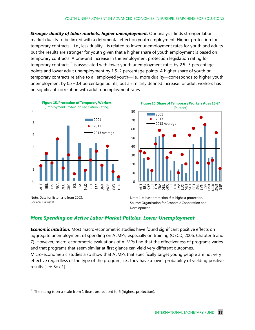*Stronger duality of labor markets, higher unemployment.* Our analysis finds stronger labor market duality to be linked with a detrimental effect on youth employment. Higher protection for temporary contracts—i.e., less duality—is related to lower unemployment rates for youth and adults, but the results are stronger for youth given that a higher share of youth employment is based on temporary contracts. A one-unit increase in the employment protection legislation rating for temporary contracts<sup>19</sup> is associated with lower youth unemployment rates by 2.5−5 percentage points and lower adult unemployment by 1.5–2 percentage points. A higher share of youth on temporary contracts relative to all employed youth—i.e., more duality—corresponds to higher youth unemployment by 0.3−0.4 percentage points, but a similarly defined increase for adult workers has no significant correlation with adult unemployment rates.





Note: Data for Estonia is from 2003. Source: Eurostat

Note:  $1 =$  least protection;  $6 =$  highest protection. Source: Organization for Economic Cooperation and Development.

### *More Spending on Active Labor Market Policies, Lower Unemployment*

*Economic intuition.* Most macro-econometric studies have found significant positive effects on aggregate unemployment of spending on ALMPs, especially on training (OECD, 2006, Chapter 6 and 7). However, micro-econometric evaluations of ALMPs find that the effectiveness of programs varies, and that programs that seem similar at first glance can yield very different outcomes. Micro-econometric studies also show that ALMPs that specifically target young people are not very effective regardless of the type of the program, i.e., they have a lower probability of yielding positive results (see Box 1).

 $19$  The rating is on a scale from 1 (least protection) to 6 (highest protection).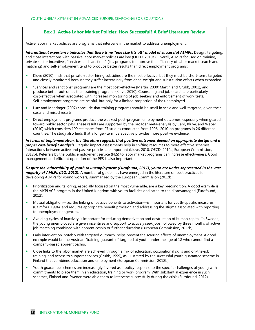#### **Box 1. Active Labor Market Policies: How Successful? A Brief Literature Review**

Active labor market policies are programs that intervene in the market to address unemployment.

*International experience indicates that there is no "one size fits all" model of successful ALMPs***.** Design, targeting, and close interactions with passive labor market policies are key (OECD, 2010a). Overall, ALMPs focused on training, private sector incentives, "services and sanctions" (i.e., programs to improve the efficiency of labor market search and matching) and self-employment tend to produce better results than direct employment programs:

- Kluve (2010) finds that private-sector hiring subsidies are the most effective, but they must be short-term, targeted and closely monitored because they suffer increasingly from dead-weight and substitution effects when expanded.
- x "Services and sanctions" programs are the most cost-effective (Martin, 2000; Martin and Grubb, 2001), and produce better outcomes than training programs (Kluve, 2010). Counseling and job-search are particularly cost-effective when associated with increased monitoring of job seekers and enforcement of work tests. Self-employment programs are helpful, but only for a limited proportion of the unemployed.
- Lutz and Mahringer (2007) conclude that training programs should be small in scale and well-targeted, given their costs and mixed results.
- Direct employment programs produce the weakest post-program employment outcomes, especially when geared toward public sector jobs. These results are supported by the broader meta-analysis by Card, Kluve, and Weber (2010) which considers 199 estimates from 97 studies conducted from 1996−2010 on programs in 26 different countries. The study also finds that a longer-term perspective provides more positive evidence.

*In terms of implementation, the literature suggests that positive outcomes depend on appropriate design and a proper cost-benefit analysis***.** Regular impact assessments help in shifting resources to more effective schemes. Interactions between active and passive policies are important (Kluve, 2010; OECD, 2010a; European Commission, 2012b). Referrals by the public employment service (PES) to labor market programs can increase effectiveness. Good management and efficient operation of the PES is also important.

*Despite the vulnerability of youth to unemployment (Eurofound, 2011), youth are under-represented in the vast majority of AMLPs (ILO, 2012)***.** A number of guidelines have emerged in the literature on best practices for developing ALMPs for young workers, summarized by the European Commission (2012b):

- Prioritization and tailoring, especially focused on the most vulnerable, are a key precondition. A good example is the MYPLACE program in the United Kingdom with youth facilities dedicated to the disadvantaged (Eurofound, 2012).
- x Mutual obligation—i.e., the linking of passive benefits to activation—is important for youth-specific measures (Calmfors, 1994), and requires appropriate benefit provision and addressing the stigma associated with reporting to unemployment agencies.
- Avoiding cycles of inactivity is important for reducing demotivation and destruction of human capital. In Sweden, the young unemployed are given incentives and support to actively seek jobs, followed by three months of active job matching combined with apprenticeship or further education (European Commission, 2012b).
- Early intervention, notably with targeted outreach, helps prevent the scarring effects of unemployment. A good example would be the Austrian "training guarantee" targeted at youth under the age of 18 who cannot find a company-based apprenticeship.
- Close links to the labor market are achieved through a mix of education, occupational skills and on-the-job training, and access to support services (Grubb, 1999), as illustrated by the successful youth guarantee scheme in Finland that combines education and employment (European Commission, 2012b).
- Youth guarantee schemes are increasingly favored as a policy response to the specific challenges of young with commitments to place them in an education, training or work program. With substantial experience in such schemes, Finland and Sweden were able them to intervene successfully during the crisis (Eurofound, 2012).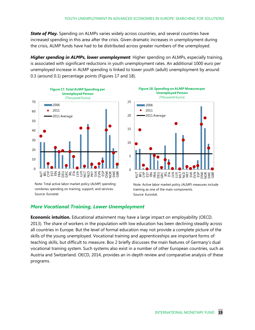**State of Play.** Spending on ALMPs varies widely across countries, and several countries have increased spending in this area after the crisis. Given dramatic increases in unemployment during the crisis, ALMP funds have had to be distributed across greater numbers of the unemployed.

*Higher spending in ALMPs, lower unemployment.* Higher spending on ALMPs, especially training, is associated with significant reductions in youth unemployment rates. An additional 1000 euro per unemployed increase in ALMP spending is linked to lower youth (adult) unemployment by around 0.3 (around 0.1) percentage points (Figures 17 and 18).



Note: Total active labor market policy (ALMP) spending combines spending on training, support, and services. Source: Eurostat.



Note: Active labor market policy (ALMP) measures include training as one of the main components. Source: Eurostat.

#### *More Vocational Training, Lower Unemployment*

**Economic intuition.** Educational attainment may have a large impact on employability (OECD, 2013). The share of workers in the population with low education has been declining steadily across all countries in Europe. But the level of formal education may not provide a complete picture of the skills of the young unemployed. Vocational training and apprenticeships are important forms of teaching skills, but difficult to measure. Box 2 briefly discusses the main features of Germany's dual vocational training system. Such systems also exist in a number of other European countries, such as Austria and Switzerland. OECD, 2014, provides an in-depth review and comparative analysis of these programs.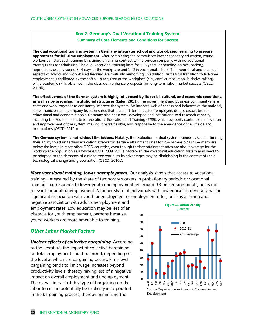#### **Box 2. Germany's Dual Vocational Training System: Summary of Core Elements and Conditions for Success**

**The dual vocational training system in Germany integrates school and work-based learning to prepare apprentices for full-time employment.** After completing the compulsory lower secondary education, young workers can start such training by signing a training contract with a private company, with no additional prerequisites for admission. The dual vocational training lasts for 2−3 years (depending on occupation); apprentices usually spend 3−4 days at the workplace and 1−2 in vocational school. The theoretical and practical aspects of school and work-based learning are mutually reinforcing. In addition, successful transition to full-time employment is facilitated by the soft skills acquired at the workplace (e.g., conflict resolution, initiative taking), while academic skills obtained in the classroom enhance prospects for long-term labor market success (OECD, 2010b).

**The effectiveness of the German system is highly influenced by its social, cultural, and economic conditions,**  as well as by prevailing institutional structures (Euler, 2013). The government and business community share costs and work together to constantly improve the system. An intricate web of checks and balances at the national, state, municipal, and company levels ensures that the short-term needs of employers do not distort broader educational and economic goals. Germany also has a well-developed and institutionalized research capacity, including the Federal Institute for Vocational Education and Training (*BIBB*), which supports continuous innovation and improvement of the system, making it more flexible, and responsive to the emergence of new fields and occupations (OECD, 2010b).

**The German system is not without limitations.** Notably, the evaluation of dual system trainees is seen as limiting their ability to attain tertiary education afterwards. Tertiary attainment rates for 25−34 year olds in Germany are below the levels in most other OECD countries, even though tertiary attainment rates are about average for the working-age population as a whole (OECD, 2009, 2011). Moreover, the vocational education system may need to be adapted to the demands of a globalized world, as its advantages may be diminishing in the context of rapid technological change and globalization (OECD, 2010c).

*More vocational training, lower unemployment.* Our analysis shows that access to vocational training—measured by the share of temporary workers in probationary periods or vocational training—corresponds to lower youth unemployment by around 0.3 percentage points, but is not relevant for adult unemployment. A higher share of individuals with low education generally has no significant association with youth unemployment or employment rates, but has a strong and

negative association with adult unemployment and employment rates. Low education may be less of an obstacle for youth employment, perhaps because young workers are more amenable to training.

#### *Other Labor Market Factors*

*Unclear effects of collective bargaining.* According to the literature, the impact of collective bargaining on total employment could be mixed, depending on the level at which the bargaining occurs. Firm-level bargaining tends to limit wage increases beyond productivity levels, thereby having less of a negative impact on overall employment and unemployment. The overall impact of this type of bargaining on the labor force can potentially be explicitly incorporated in the bargaining process, thereby minimizing the



**Figure 20. Market Efficiency Competition of Goods**  (Rating)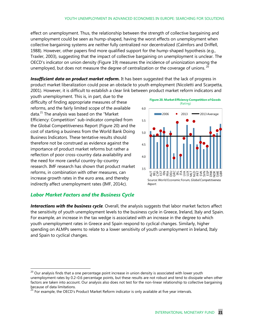#### 90

## YOUTH UNEMPLOYMENT IN ADVANCED ECONOMIES IN EUROPE: SEARCHING FOR SOLUTIONS<br>2001

70

2010-11

effect on unemployment. Thus, the relationship between the strength of collective bargaining and unemployment could be seen as hump-shaped, having th<sub></sub>g worst effects on unemployment when collective bargaining systems are neither fully centralized nor decentralized (Calmfors and Driffell, 1988). However, other papers find more qualified support for the hump-shaped hypothesis (e.g., 40 Traxler, 2003), suggesting that the impact of collective bargaining on unemployment is unclear. The OECD's indicator on union density (Figure 19) measures the incidence of unionization among the 20 unemployed, but does not measure the degree of centralization or the coverage of unions.  $^{20}$ 

l**nsufficient data on product market reform.** It has been suggested that the lack pring ness ins product market liberalization could pose an obstacle to youth employment (Nicoletti and Scarpetta, 2001). However, it is difficult to establish a clear link between **Brobuct market reform indicators and** Foëæe hydrane tagkarkiedige æve

youth unemployment. This is, in part, due to the difficulty of finding appropriate measures of these reforms, and the fairly limited scope of the available data.<sup>21</sup> The analysis was based on the "Market Efficiency: Competition" sub-indicator compiled from the Global Competitiveness Report (Figure 20) and the cost of starting a business from the World Bank Doing Business Indicators. These tentative results should therefore not be construed as evidence against the importance of product market reforms but rather a reflection of poor cross-country data availability and the need for more careful country-by-country research. IMF research has shown that product market reforms, in combination with other measures, can increase growth rates in the euro area, and thereby indirectly affect unemployment rates (IMF, 2014c).



### *Labor Market Factors and the Business Cycle*

*Interactions with the business cycle*. Overall, the analysis suggests that labor market factors affect the sensitivity of youth unemployment levels to the business cycle in Greece, Ireland, Italy and Spain. For example, an increase in the tax wedge is associated with an increase in the degree to which youth unemployment rates in Greece and Spain respond to cyclical changes. Similarly, higher spending on ALMPs seems to relate to a lower sensitivity of youth unemployment in Ireland, Italy and Spain to cyclical changes.

 $20$  Our analysis finds that a one percentage point increase in union density is associated with lower youth unemployment rates by 0.2–0.6 percentage points, but these results are not robust and tend to dissipate when other factors are taken into account. Our analysis also does not test for the non-linear relationship to collective bargaining because of data limitations.

For example, the OECD's Product Market Reform indicator is only available at five year intervals.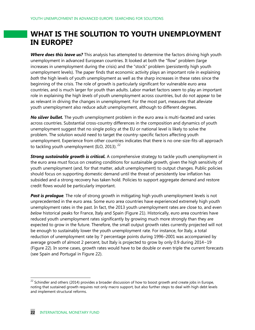# **WHAT IS THE SOLUTION TO YOUTH UNEMPLOYMENT IN EUROPE?**

*Where does this leave us?* This analysis has attempted to determine the factors driving high youth unemployment in advanced European countries. It looked at both the "flow" problem (large increases in unemployment during the crisis) and the "stock" problem (persistently high youth unemployment levels). The paper finds that economic activity plays an important role in explaining *both* the high levels of youth unemployment as well as the sharp increases in these rates since the beginning of the crisis. The role of growth is particularly significant for vulnerable euro area countries, and is much larger for youth than adults. Labor market factors seem to play an important role in explaining the high *levels* of youth unemployment across countries, but do not appear to be as relevant in driving the changes in unemployment. For the most part, measures that alleviate youth unemployment also reduce adult unemployment, although to different degrees.

*No silver bullet.* The youth unemployment problem in the euro area is multi-faceted and varies across countries. Substantial cross-country differences in the composition and dynamics of youth unemployment suggest that no single policy at the EU or national level is likely to solve the problem. The solution would need to target the country-specific factors affecting youth unemployment. Experience from other countries indicates that there is no one-size-fits-all approach to tackling youth unemployment (ILO, 2013).  $^{22}$ 

*Strong sustainable growth is critical.* A comprehensive strategy to tackle youth unemployment in the euro area must focus on creating conditions for sustainable growth, given the high sensitivity of youth unemployment (and, for that matter, adult unemployment) to output changes. Public policies should focus on supporting domestic demand until the threat of persistently low inflation has subsided and a strong recovery has taken hold. Policies to support aggregate demand and restore credit flows would be particularly important.

*Past is prologue.* The role of strong growth in mitigating high youth unemployment levels is not unprecedented in the euro area. Some euro area countries have experienced extremely high youth unemployment rates in the past. In fact, the 2013 youth unemployment rates are close to, and even *below* historical peaks for France, Italy and Spain (Figure 21). Historically, euro area countries have reduced youth unemployment rates significantly by growing much more strongly than they are expected to grow in the future. Therefore, the small output growth rates currently projected will not be enough to sustainably lower the youth unemployment rate. For instance, for Italy, a total reduction of unemployment rate by 7 percentage points during 1996–2001 was accompanied by average growth of almost 2 percent, but Italy is projected to grow by only 0.9 during 2014−19 (Figure 22). In some cases, growth rates would have to be double or even triple the current forecasts (see Spain and Portugal in Figure 22).

<sup>&</sup>lt;sup>22</sup> Schindler and others (2014) provides a broader discussion of how to boost growth and create jobs in Europe, noting that sustained growth requires not only macro support, but also further steps to deal with high debt levels and implement structural reforms.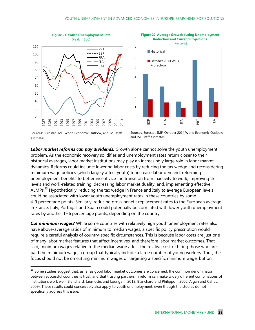



Sources: Eurostat; IMF, World Economic Outlook; and IMF staff estimates.

Sources: Eurostat; IMF, October 2014 World Economic Outlook; and IMF staff estimates.

*Labor market reforms can pay dividends.* Growth alone cannot solve the youth unemployment problem. As the economic recovery solidifies and unemployment rates return closer to their historical averages, labor market institutions may play an increasingly large role in labor market dynamics. Reforms could include: lowering labor costs by reducing the tax wedge and reconsidering minimum wage policies (which largely affect youth) to increase labor demand; reforming unemployment benefits to better incentivize the transition from inactivity to work; improving skill levels and work-related training; decreasing labor market duality; and, implementing effective ALMPs.<sup>23</sup> Hypothetically, reducing the tax wedge in France and Italy to average European levels could be associated with lower youth unemployment rates in these countries by some 4-9 percentage points. Similarly, reducing gross benefit replacement rates to the European average in France, Italy, Portugal, and Spain could potentially be correlated with lower youth unemployment rates by another 1−6 percentage points, depending on the country.

*Cut minimum wages?* While some countries with relatively high youth unemployment rates also have above-average ratios of minimum to median wages, a specific policy prescription would require a careful analysis of country-specific circumstances. This is because labor costs are just one of many labor market features that affect incentives, and therefore labor market outcomes. That said, minimum wages relative to the median wage affect the relative cost of hiring those who are paid the minimum wage, a group that typically include a large number of young workers. Thus, the focus should not be on cutting minimum wages or targeting a specific minimum wage, but on

 $^{23}$  Some studies suggest that, as far as good labor market outcomes are concerned, the common denominator between successful countries is trust, and that trusting partners in reform can make widely different combinations of institutions work well (Blanchard, Jaumotte, and Loungani, 2013; Blanchard and Philippon, 2006; Algan and Cahuc, 2009). These results could conceivably also apply to youth unemployment, even though the studies do not specifically address this issue.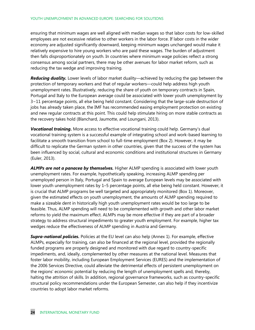ensuring that minimum wages are well aligned with median wages so that labor costs for low-skilled employees are not excessive relative to other workers in the labor force. If labor costs in the wider economy are adjusted significantly downward, keeping minimum wages unchanged would make it relatively expensive to hire young workers who are paid these wages. The burden of adjustment then falls disproportionately on youth. In countries where minimum wage policies reflect a strong consensus among social partners, there may be other avenues for labor market reform, such as reducing the tax wedge and improving training.

*Reducing duality.* Lower levels of labor market duality—achieved by reducing the gap between the protection of temporary workers and that of regular workers—could help address high youth unemployment rates. Illustratively, reducing the share of youth on temporary contracts in Spain, Portugal and Italy to the European average could be associated with lower youth unemployment by 3−11 percentage points, all else being held constant. Considering that the large-scale destruction of jobs has already taken place, the IMF has recommended easing employment protection on existing and new regular contracts at this point. This could help stimulate hiring on more stable contracts as the recovery takes hold (Blanchard, Jaumotte, and Loungani, 2013).

*Vocational training***.** More access to effective vocational training could help. Germany's dual vocational training system is a successful example of integrating school and work-based learning to facilitate a smooth transition from school to full-time employment (Box 2). However, it may be difficult to replicate the German system in other countries, given that the success of the system has been influenced by social, cultural and economic conditions and institutional structures in Germany (Euler, 2013).

*ALMPs are not a panacea by themselves.* Higher ALMP spending is associated with lower youth unemployment rates. For example, hypothetically speaking, increasing ALMP spending per unemployed person in Italy, Portugal and Spain to average European levels may be associated with lower youth unemployment rates by 1–5 percentage points, all else being held constant. However, it is crucial that ALMP programs be well targeted and appropriately monitored (Box 1). Moreover, given the estimated effects on youth unemployment, the amounts of ALMP spending required to make a sizeable dent in historically high youth unemployment rates would be too large to be feasible. Thus, ALMP spending will need to be complemented with growth and other labor market reforms to yield the maximum effect. ALMPs may be more effective if they are part of a broader strategy to address structural impediments to greater youth employment. For example, higher tax wedges reduce the effectiveness of ALMP spending in Austria and Germany.

*Supra-national policies.* Policies at the EU level can also help (Annex 1). For example, effective ALMPs, especially for training, can also be financed at the regional level, provided the regionally funded programs are properly designed and monitored with due regard to country-specific impediments, and, ideally, complemented by other measures at the national level. Measures that foster labor mobility, including European Employment Services (EURES) and the implementation of the 2006 Services Directive, could alleviate the detrimental effects of persistent unemployment on the regions' economic potential by reducing the length of unemployment spells and, thereby, halting the attrition of skills. In addition, regional governance frameworks, such as country-specific structural policy recommendations under the European Semester, can also help if they incentivize countries to adopt labor market reforms.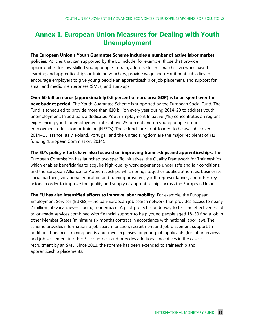# **Annex 1. European Union Measures for Dealing with Youth Unemployment**

**The European Union's Youth Guarantee Scheme includes a number of active labor market policies.** Policies that can supported by the EU include, for example, those that provide opportunities for low-skilled young people to train, address skill mismatches via work-based learning and apprenticeships or training vouchers, provide wage and recruitment subsidies to encourage employers to give young people an apprenticeship or job placement, and support for small and medium enterprises (SMEs) and start-ups.

**Over 60 billion euros (approximately 0.6 percent of euro area GDP) is to be spent over the next budget period.** The Youth Guarantee Scheme is supported by the European Social Fund. The Fund is scheduled to provide more than €10 billion every year during 2014–20 to address youth unemployment. In addition, a dedicated Youth Employment Initiative (YEI) concentrates on regions experiencing youth unemployment rates above 25 percent and on young people not in employment, education or training (NEETs). These funds are front-loaded to be available over 2014−15. France, Italy, Poland, Portugal, and the United Kingdom are the major recipients of YEI funding (European Commission, 2014).

**The EU's policy efforts have also focused on improving traineeships and apprenticeships.** The European Commission has launched two specific initiatives: the Quality Framework for Traineeships which enables beneficiaries to acquire high-quality work experience under safe and fair conditions; and the European Alliance for Apprenticeships, which brings together public authorities, businesses, social partners, vocational education and training providers, youth representatives, and other key actors in order to improve the quality and supply of apprenticeships across the European Union.

**The EU has also intensified efforts to improve labor mobility.** For example, the European Employment Services (EURES)—the pan-European job search network that provides access to nearly 2 million job vacancies—is being modernized. A pilot project is underway to test the effectiveness of tailor-made services combined with financial support to help young people aged 18–30 find a job in other Member States (minimum six months contract in accordance with national labor law). The scheme provides information, a job search function, recruitment and job placement support. In addition, it finances training needs and travel expenses for young job applicants (for job interviews and job settlement in other EU countries) and provides additional incentives in the case of recruitment by an SME. Since 2013, the scheme has been extended to traineeship and apprenticeship placements.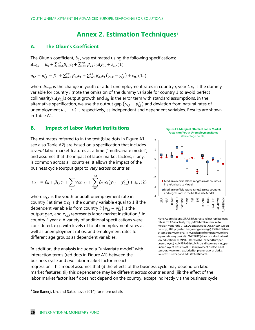### **Annex 2. Estimation Techniques<sup>1</sup>**

#### **A. The Okun's Coefficient**

The Okun's coefficient,  $b_i$ , was estimated using the following specifications:  $\Delta u_{i,t} = \beta_0 + \sum_{i=2}^{22} \beta_{1,i} c_i + \sum_{i=1}^{22} \beta_{2,i} c_i \Delta y_{i,t} + \varepsilon_{it}$ , (1)

$$
u_{i,t} - u_{i,t}^* = \beta_0 + \sum_{i=2}^{22} \beta_{1,i} c_i + \sum_{i=1}^{22} \beta_{2,i} c_i (y_{i,t} - y_{i,t}^*) + \varepsilon_{it}
$$
 (1a)

where  $\Delta u_{i,t}$  is the change in youth or adult unemployment rates in country *i*, year *t*,  $c_i$  is the dummy variable for country *i* (note the omission of the dummy variable for country 1 to avoid perfect collinearity),  $\Delta y_{i,t}$  is output growth and  $\varepsilon_{it}$  is the error term with standard assumptions. In the alternative specification, we use the output gap  $(y_{i,t} - y_{i,t}^*)$  and deviation from natural rates of unemployment  $u_{i,t} - u_{i,t}^*$  , respectively, as independent and dependent variables. Results are shown in Table A1.

#### **B. Impact of Labor Market Institutions**

The estimates referred to in the text (blue dots in Figure A1; see also Table A2) are based on a specification that includes *several* labor market features at a time ("multivariate model") and assumes that the impact of labor market factors, if any, is common across all countries. It allows the impact of the business cycle (output gap) to vary across countries.

$$
u_{i,t} = \beta_0 + \beta_{1,i}c_i + \sum_j \gamma_j x_{i,j,t} + \sum_{i=1}^{22} \beta_{2,i}c_i(y_{i,t} - y_{i,t}^*) + \varepsilon_{it},
$$
 (2)

where  $u_{i,t}$  is the youth or adult unemployment rate in country  $i$  at time  $t$ ;  $c_i$  is the dummy variable equal to 1 if the dependent variable is from country  $\dot{v}$   $(y_{i,t} - y_{i,t}^*)$  is the output gap, and  $x_{i,j,t}$  represents labor market institution  $j$ , in country *i*, year *t*. A variety of additional specifications were considered, e.g., with levels of total unemployment rates as well as unemployment ratios, and employment rates for different age groups as dependent variables.

In addition, the analysis included a "univariate model" with interaction terms (red dots in Figure A1) between the business cycle and *one* labor market factor in each



Median coefficient (and range) across countries

 $\blacksquare$  Median coefficient (and range) across countries  $\perp$ and regressions in the Multivariate Model

in the Univariate Model

MIN2MED

**Figure A1. Marginal Effects of Labor Market** 



TWEDGE UDENS ABP EPT TSHARE TPROB

LOWEDUC ALMPTOT

LOWEDUC **ALMPTOT** LMPTRAIN

regression. This model assumes that (i) the effects of the business cycle may depend on labor market features, (ii) this dependence may be different across countries and (iii) the effect of the labor market factor itself does not depend on the country, except indirectly via the business cycle.

-4

GRR NRR ITRAP MIN2MED

-3

-2

-1

 $\theta$ 

2

 $1$  See Banerji, Lin, and Saksonovs (2014) for more details.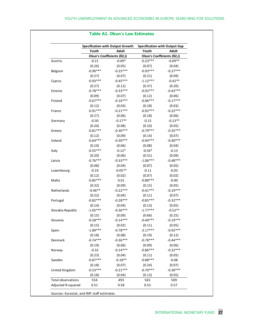|                                          |               | <b>Specification with Output Growth</b> | <b>Specification with Output Gap</b> |                            |
|------------------------------------------|---------------|-----------------------------------------|--------------------------------------|----------------------------|
|                                          | Youth         | Adult                                   | Youth                                | Adult                      |
|                                          |               | Okun's Coefficients (ß2,i)              |                                      | Okun's Coefficients (ß2,i) |
| Austria                                  | $-0.21$       | $-0.09*$                                | $-0.23***$                           | $-0.09**$                  |
|                                          | (0.26)        | (0.05)                                  | (0.07)                               | (0.04)                     |
| Belgium                                  | $-0.90***$    | $-0.25***$                              | $-0.93***$                           | $-0.27***$                 |
|                                          | (0.27)        | (0.07)                                  | (0.21)                               | (0.09)                     |
| Cyprus                                   | $-0.93***$    | $-0.45***$                              | $-1.12***$                           | $-0.42**$                  |
|                                          | (0.27)        | (0.12)                                  | (0.37)                               | (0.20)                     |
| Estonia                                  | $-0.78***$    | $-0.33***$                              | $-0.92***$                           | $-0.42***$                 |
|                                          | (0.09)        | (0.07)                                  | (0.12)                               | (0.06)                     |
| Finland                                  | $-0.67***$    | $-0.16***$                              | $-0.96***$                           | $-0.17***$                 |
|                                          | (0.12)        | (0.03)                                  | (0.18)                               | (0.03)                     |
| France                                   | $-0.91***$    | $-0.21***$                              | $-0.92***$                           | $-0.22***$                 |
|                                          | (0.27)        | (0.06)                                  | (0.18)                               | (0.06)                     |
| Germany                                  | $-0.30$       | $-0.17**$                               | $-0.15$                              | $-0.13**$                  |
|                                          | (0.20)        | (0.08)                                  | (0.10)                               | (0.05)                     |
| Greece                                   | $-0.81***$    | $-0.36***$                              | $-0.79***$                           | $-0.35***$                 |
|                                          | (0.12)        | (0.09)                                  | (0.14)                               | (0.07)                     |
| Ireland                                  | $-0.64***$    | $-0.30***$                              | $-0.94***$                           | $-0.40***$                 |
|                                          | (0.10)        | (0.06)                                  | (0.08)                               | (0.04)                     |
| Italy                                    | $-0.55***$    | $-0.12*$                                | $-0.56*$                             | $-0.13$                    |
|                                          | (0.20)        | (0.06)                                  | (0.31)                               | (0.09)                     |
| Latvia                                   | $-0.76***$    | $-0.33***$                              | $-1.06***$                           | $-0.48***$                 |
|                                          | (0.08)        | (0.04)                                  | (0.07)                               | (0.05)                     |
| Luxembourg                               | $-0.19$       | $-0.05**$                               | $-0.11$                              | $-0.03$                    |
|                                          | (0.12)        | (0.02)                                  | (0.07)                               | (0.02)                     |
| Malta                                    | $-0.85***$    | 0.01                                    | $-0.88***$                           | $-0.00$                    |
|                                          | (0.32)        | (0.09)                                  | (0.15)                               | (0.05)                     |
| Netherlands                              | $-0.46**$     | $-0.22***$                              | $-0.41***$                           | $-0.19***$                 |
|                                          | (0.22)        | (0.04)                                  | (0.11)                               | (0.07)                     |
| Portugal                                 | $-0.82***$    | $-0.28***$                              | $-0.85***$                           | $-0.32***$                 |
|                                          | (0.14)        | (0.04)                                  | (0.13)                               | (0.05)                     |
| Slovakia Republic                        | $-1.05***$    | $-0.36***$                              | $-1.77***$                           | $-0.52**$                  |
|                                          | (0.15)        | (0.09)                                  | (0.66)                               | (0.25)                     |
| Slovenia                                 | $-0.58***$    | $-0.14***$                              | $-0.40***$                           | $-0.19***$                 |
|                                          | (0.15)        | (0.02)                                  | (0.11)                               | (0.05)                     |
| Spain                                    | $-1.89***$    | $-0.78***$                              | $-2.17***$                           | $-0.92***$                 |
|                                          | (0.18)        | (0.08)                                  | (0.19)                               | (0.12)                     |
| Denmark                                  | $-0.74***$    | $-0.36***$                              | $-0.78***$                           | $-0.44***$                 |
|                                          | (0.19)        | (0.06)                                  | (0.09)                               | (0.06)                     |
| Norway                                   | $-0.32$       | $-0.14***$                              | $-0.86***$                           | $-0.32***$                 |
|                                          | (0.23)        | (0.04)                                  | (0.11)                               | (0.05)                     |
| Sweden                                   | $-0.87***$    | $-0.18**$                               | $-0.88***$                           | $-0.08$                    |
|                                          | (0.18)        | (0.07)                                  | (0.24)                               | (0.07)                     |
|                                          | $-0.53***$    | $-0.21***$                              | $-0.70***$                           | $-0.30***$                 |
| United Kingdom                           |               |                                         |                                      |                            |
|                                          | (0.18)<br>554 | (0.04)<br>493                           | (0.13)<br>565                        | (0.05)<br>509              |
| Total observations<br>Adjusted R-squared | 0.51          | 0.58                                    | 0.53                                 | 0.57                       |

### **Table A1. Okun's Law Estimates**

Sources: Eurostat; and IMF staff estimates.

 $\mathcal{L}_{\mathcal{A}}$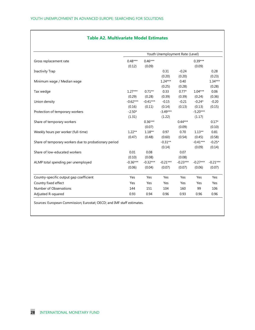#### **Table A2. Multivariate Model Estimates**

|                                                       | Youth Unemployment Rate (Level) |                     |                |                      |            |                   |                                     |          |          |        |        |          |        |
|-------------------------------------------------------|---------------------------------|---------------------|----------------|----------------------|------------|-------------------|-------------------------------------|----------|----------|--------|--------|----------|--------|
| Gross replacement rate                                | $0.48***$                       | $0.46***$           |                |                      | $0.39***$  |                   |                                     |          |          |        |        |          |        |
| <b>Inactivity Trap</b>                                | (0.12)                          | (0.09)              |                |                      | (0.09)     | 0.28<br>(0.23)    |                                     |          |          |        |        |          |        |
|                                                       |                                 |                     | 0.31<br>(0.20) | $-0.24$              |            |                   |                                     |          |          |        |        |          |        |
|                                                       |                                 |                     |                | (0.20)               |            |                   |                                     |          |          |        |        |          |        |
| Minimum wage / Median wage                            |                                 |                     | $1.24***$      | 0.40                 |            | $1.34***$         |                                     |          |          |        |        |          |        |
|                                                       |                                 |                     | (0.25)         | (0.28)               |            | (0.28)            |                                     |          |          |        |        |          |        |
| Tax wedge                                             | $1.27***$                       | $0.71**$            | 0.33           | $0.77*$              | $1.04***$  | 0.06              |                                     |          |          |        |        |          |        |
|                                                       | (0.29)                          | (0.28)              | (0.39)         | (0.39)               | (0.24)     | (0.36)            |                                     |          |          |        |        |          |        |
| Union density                                         | $-0.62***$                      | $-0.41***$          | $-0.15$        | $-0.21$              | $-0.24*$   | $-0.20$           |                                     |          |          |        |        |          |        |
|                                                       | (0.16)                          | (0.11)              | (0.14)         | (0.13)               | (0.13)     | (0.15)            |                                     |          |          |        |        |          |        |
| Protection of temporary workers                       | $-2.50*$                        |                     | $-3.49***$     |                      | $-5.20***$ |                   |                                     |          |          |        |        |          |        |
| Share of temporary workers                            | (1.31)                          | $0.36***$<br>(0.07) | (1.22)         | $0.44***$<br>(0.09)  | (1.17)     | $0.17*$<br>(0.10) |                                     |          |          |        |        |          |        |
|                                                       |                                 |                     |                |                      |            |                   | Weekly hours per worker (full-time) | $1.22**$ | $1.18**$ | 0.97   | 0.70   | $1.13**$ | 0.81   |
|                                                       |                                 |                     |                |                      |            |                   |                                     | (0.47)   | (0.48)   | (0.60) | (0.54) | (0.45)   | (0.58) |
| Share of temporary workers due to probationary period |                                 |                     | $-0.31**$      |                      | $-0.41***$ | $-0.25*$          |                                     |          |          |        |        |          |        |
|                                                       |                                 |                     | (0.14)         |                      | (0.09)     | (0.14)            |                                     |          |          |        |        |          |        |
| Share of low-educated workers                         | 0.01                            | 0.08                |                | 0.07                 |            |                   |                                     |          |          |        |        |          |        |
|                                                       | (0.10)                          | (0.08)              |                | (0.08)<br>$-0.23***$ | $-0.27***$ |                   |                                     |          |          |        |        |          |        |
| ALMP total spending per unemployed                    | $-0.36***$                      | $-0.32***$          | $-0.21***$     |                      |            | $-0.21***$        |                                     |          |          |        |        |          |        |
|                                                       | (0.06)                          | (0.04)              | (0.07)         | (0.07)               | (0.06)     | (0.07)            |                                     |          |          |        |        |          |        |
| Country-specific output gap coefficient               | Yes                             | Yes                 | Yes            | Yes                  | Yes        | Yes               |                                     |          |          |        |        |          |        |
| Country fixed effect                                  | Yes                             | Yes                 | Yes            | Yes                  | Yes        | Yes               |                                     |          |          |        |        |          |        |
| Number of Observations                                | 144                             | 151                 | 104            | 160                  | 99         | 106               |                                     |          |          |        |        |          |        |
| Adjusted R-squared                                    | 0.93                            | 0.94                | 0.96           | 0.93                 | 0.96       | 0.96              |                                     |          |          |        |        |          |        |

Sources: European Commission; Eurostat; OECD; and IMF staff estimates.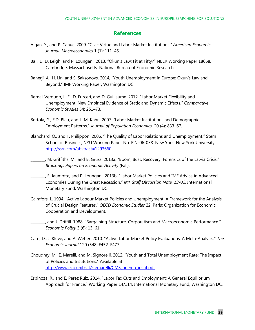### **References**

- Algan, Y., and P. Cahuc. 2009. "Civic Virtue and Labor Market Institutions." *American Economic Journal: Macroeconomics* 1 (1): 111–45.
- Ball, L., D. Leigh, and P. Loungani. 2013. "Okun's Law: Fit at Fifty?" NBER Working Paper 18668. Cambridge, Massachusetts: National Bureau of Economic Research*.*
- Banerji, A., H. Lin, and S. Saksonovs. 2014, "Youth Unemployment in Europe: Okun's Law and Beyond." IMF Working Paper, Washington DC.
- Bernal-Verdugo, L. E., D. Furceri, and D. Guillaume. 2012. "Labor Market Flexibility and Unemployment: New Empirical Evidence of Static and Dynamic Effects." *Comparative Economic Studies* 54: 251–73.
- Bertola, G., F.D. Blau, and L. M. Kahn. 2007. "Labor Market Institutions and Demographic Employment Patterns." *Journal of Population Economics,* 20 (4): 833–67.
- Blanchard, O., and T. Philippon. 2006. "The Quality of Labor Relations and Unemployment." Stern School of Business, NYU Working Paper No. FIN-06-038. New York: New York University. http://ssrn.com/abstract=1293660.
- \_\_\_\_\_\_\_\_, M. Griffiths, M., and B. Gruss. 2013a. "Boom, Bust, Recovery: Forensics of the Latvia Crisis." *Brookings Papers on Economic Activity (*Fall).
- \_\_\_\_\_\_\_\_, F. Jaumotte, and P. Loungani. 2013b. "Labor Market Policies and IMF Advice in Advanced Economies During the Great Recession." *IMF Staff Discussion Note, 13/02.* International Monetary Fund, Washington DC.
- Calmfors, L. 1994. "Active Labour Market Policies and Unemployment: A Framework for the Analysis of Crucial Design Features." *OECD Economic Studies* 22. Paris: Organization for Economic Cooperation and Development.
- \_\_\_\_\_\_\_\_, and J. Driffill. 1988. "Bargaining Structure, Corporatism and Macroeconomic Performance." *Economic Policy* 3 (6): 13–61.
- Card, D., J. Kluve, and A. Weber. 2010. "Active Labor Market Policy Evaluations: A Meta-Analysis." *The Economic Journal* 120 (548):F452–F477.
- Choudhry, M., E. Marelli, and M. Signorelli. 2012. "Youth and Total Unemployment Rate: The Impact of Policies and Institutions." Available at http://www.eco.unibs.it/~emarelli/CMS\_unemp\_instit.pdf.
- Espinoza, R., and E. Pérez Ruiz. 2014. "Labor Tax Cuts and Employment: A General Equilibrium Approach for France." Working Paper 14/114, International Monetary Fund, Washington DC.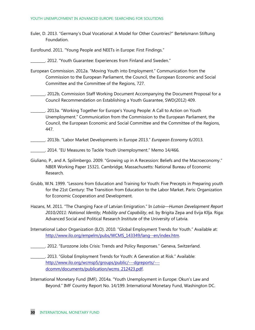Euler, D. 2013. "Germany's Dual Vocational: A Model for Other Countries?" Bertelsmann Stiftung Foundation.

Eurofound. 2011. "Young People and NEETs in Europe: First Findings."

\_\_\_\_\_\_\_\_. 2012. "Youth Guarantee: Experiences from Finland and Sweden."

European Commission. 2012a. "Moving Youth into Employment." Communication from the Commission to the European Parliament, the Council, the European Economic and Social Committee and the Committee of the Regions, 727.

- \_\_\_\_\_\_\_\_. 2012b, Commission Staff Working Document Accompanying the Document Proposal for a Council Recommendation on Establishing a Youth Guarantee, SWD(2012) 409.
- \_\_\_\_\_\_\_\_. 2013a. "Working Together for Europe's Young People: A Call to Action on Youth Unemployment." Communication from the Commission to the European Parliament, the Council, the European Economic and Social Committee and the Committee of the Regions, 447.

\_\_\_\_\_\_\_\_. 2013b. "Labor Market Developments in Europe 2013." *European Economy* 6/2013*.*

\_\_\_\_\_\_\_\_. 2014. "EU Measures to Tackle Youth Unemployment." Memo 14/466.

- Giuliano, P., and A. Spilimbergo. 2009. "Growing up in A Recession: Beliefs and the Macroeconomy." NBER Working Paper 15321. Cambridge, Massachusetts: National Bureau of Economic Research*.*
- Grubb, W.N. 1999. "Lessons from Education and Training for Youth: Five Precepts in Preparing youth for the 21st Century: The Transition from Education to the Labor Market. Paris: Organization for Economic Cooperation and Development.
- Hazans, M. 2011. "The Changing Face of Latvian Emigration." In *Latvia—Human Development Report 2010/2011: National Identity, Mobility and Capability*, ed. by Brigita Zepa and Evija Kllja. Riga: Advanced Social and Political Research Institute of the University of Latvia.
- International Labor Organization (ILO). 2010. "Global Employment Trends for Youth." Available at: http://www.ilo.org/empelm/pubs/WCMS\_143349/lang--en/index.htm.
- \_\_\_\_\_\_\_\_. 2012. "Eurozone Jobs Crisis: Trends and Policy Responses." Geneva, Switzerland.
- \_\_\_\_\_\_\_\_. 2013. "Global Employment Trends for Youth: A Generation at Risk." Available: http://www.ilo.org/wcmsp5/groups/public/---dgreports/-- dcomm/documents/publication/wcms\_212423.pdf.
- International Monetary Fund (IMF). 2014a. "Youth Unemployment in Europe: Okun's Law and Beyond." IMF Country Report No. 14/199. International Monetary Fund, Washington DC.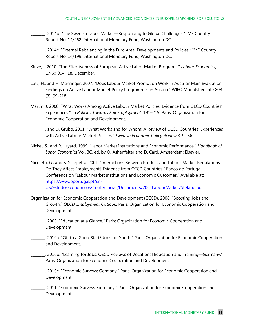\_\_\_\_\_\_\_\_. 2014b. "The Swedish Labor Market—Responding to Global Challenges." IMF Country Report No. 14/262. International Monetary Fund, Washington DC.

\_\_\_\_\_\_\_\_. 2014c. "External Rebalancing in the Euro Area: Developments and Policies." IMF Country Report No. 14/199. International Monetary Fund, Washington DC.

- Kluve, J. 2010. "The Effectiveness of European Active Labor Market Programs." *Labour Economics*, 17(6): 904−18, December.
- Lutz, H., and H. Mahringer. 2007. "Does Labour Market Promotion Work in Austria? Main Evaluation Findings on Active Labour Market Policy Programmes in Austria." WIFO Monatsberichte 80B (3): 99-218.
- Martin, J. 2000. ''What Works Among Active Labour Market Policies: Evidence from OECD Countries' Experiences.'' In *Policies Towards Full Employment:* 191–219. Paris: Organization for Economic Cooperation and Development.
- \_\_\_\_\_\_\_\_, and D. Grubb. 2001. "What Works and for Whom: A Review of OECD Countries' Experiences with Active Labour Market Policies." *Swedish Economic Policy Review* 8: 9−56.
- Nickel, S., and R. Layard. 1999. "Labor Market Institutions and Economic Performance." *Handbook of Labor Economics* Vol. 3C, ed. by O. Ashenfelter and D. Card. Amsterdam: Elsevier.
- Nicoletti, G., and S. Scarpetta. 2001. "Interactions Between Product and Labour Market Regulations: Do They Affect Employment? Evidence from OECD Countries." Banco de Portugal Conference on "Labour Market Institutions and Economic Outcomes." Available at: https://www.bportugal.pt/en-US/EstudosEconomicos/Conferencias/Documents/2001LabourMarket/Stefano.pdf.
- Organization for Economic Cooperation and Development (OECD). 2006. "Boosting Jobs and Growth." *OECD Employment Outlook.* Paris: Organization for Economic Cooperation and Development.
- \_\_\_\_\_\_\_\_. 2009. "Education at a Glance*.*" Paris: Organization for Economic Cooperation and Development.
- \_\_\_\_\_\_\_\_. 2010a. "Off to a Good Start? Jobs for Youth." Paris: Organization for Economic Cooperation and Development.
- \_\_\_\_\_\_\_\_. 2010b. "Learning for Jobs: OECD Reviews of Vocational Education and Training—Germany." Paris: Organization for Economic Cooperation and Development.
- \_\_\_\_\_\_\_\_. 2010c. "Economic Surveys: Germany." Paris: Organization for Economic Cooperation and Development.
- \_\_\_\_\_\_\_\_. 2011. "Economic Surveys: Germany." Paris: Organization for Economic Cooperation and Development.